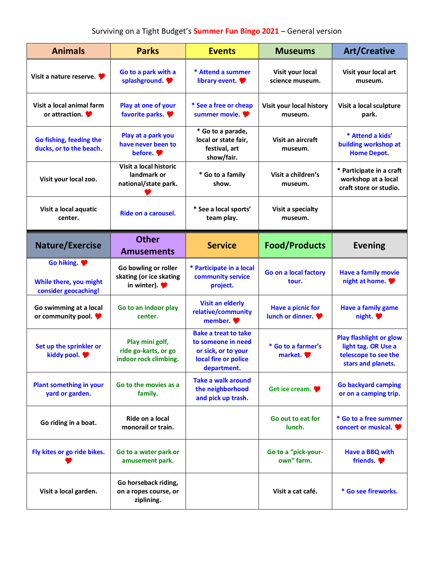## Surviving on a Tight Budget's **Summer Fun Bingo 2021** – General version

| <b>Animals</b>                                                     | <b>Parks</b>                                                                         | <b>Events</b>                                                                                                   | <b>Museums</b>                               | <b>Art/Creative</b>                                                                                 |
|--------------------------------------------------------------------|--------------------------------------------------------------------------------------|-----------------------------------------------------------------------------------------------------------------|----------------------------------------------|-----------------------------------------------------------------------------------------------------|
| Visit a nature reserve. $\blacktriangleright$                      | Go to a park with a<br>splashground.                                                 | * Attend a summer<br>library event.                                                                             | Visit your local<br>science museum.          | Visit your local art<br>museum.                                                                     |
| Visit a local animal farm<br>or attraction. $\blacktriangleright$  | Play at one of your<br>favorite parks.                                               | * See a free or cheap<br>summer movie.                                                                          | Visit your local history<br>museum.          | Visit a local sculpture<br>park.                                                                    |
| Go fishing, feeding the<br>ducks, or to the beach.                 | Play at a park you<br>have never been to<br>before.                                  | * Go to a parade,<br>local or state fair,<br>festival, art<br>show/fair.                                        | Visit an aircraft<br>museum.                 | * Attend a kids'<br>building workshop at<br><b>Home Depot.</b>                                      |
| Visit your local zoo.                                              | Visit a local historic<br>landmark or<br>national/state park.                        | * Go to a family<br>show.                                                                                       | Visit a children's<br>museum.                | * Participate in a craft<br>workshop at a local<br>craft store or studio.                           |
| Visit a local aquatic<br>center.                                   | Ride on a carousel.                                                                  | * See a local sports'<br>team play.                                                                             | Visit a specialty<br>museum.                 |                                                                                                     |
| <b>Nature/Exercise</b>                                             | <b>Other</b><br><b>Amusements</b>                                                    | <b>Service</b>                                                                                                  | <b>Food/Products</b>                         | <b>Evening</b>                                                                                      |
| Go hiking.<br>While there, you might<br>consider geocaching!       | Go bowling or roller<br>skating (or ice skating<br>in winter). $\blacktriangleright$ | * Participate in a local<br>community service<br>project.                                                       | Go on a local factory<br>tour.               | <b>Have a family movie</b><br>night at home.                                                        |
| Go swimming at a local<br>or community pool. $\blacktriangleright$ | Go to an indoor play<br>center.                                                      | <b>Visit an elderly</b><br>relative/community<br>member.                                                        | <b>Have a picnic for</b><br>lunch or dinner. | <b>Have a family game</b><br>night. $\blacktriangleright$                                           |
| Set up the sprinkler or<br>kiddy pool.                             | Play mini golf,<br>ride go-karts, or go<br>indoor rock climbing.                     | <b>Bake a treat to take</b><br>to someone in need<br>or sick, or to your<br>local fire or police<br>department. | * Go to a farmer's<br>market.                | <b>Play flashlight or glow</b><br>light tag. OR Use a<br>telescope to see the<br>stars and planets. |
| <b>Plant something in your</b><br>yard or garden.                  | Go to the movies as a<br>family.                                                     | <b>Take a walk around</b><br>the neighborhood<br>and pick up trash.                                             | Get ice cream.                               | <b>Go backyard camping</b><br>or on a camping trip.                                                 |
| Go riding in a boat.                                               | Ride on a local<br>monorail or train.                                                |                                                                                                                 | Go out to eat for<br>lunch.                  | * Go to a free summer<br>concert or musical.                                                        |
| Fly kites or go ride bikes.                                        | Go to a water park or<br>amusement park.                                             |                                                                                                                 | Go to a "pick-your-<br>own" farm.            | Have a BBQ with<br>friends.                                                                         |
| Visit a local garden.                                              | Go horseback riding,<br>on a ropes course, or<br>ziplining.                          |                                                                                                                 | Visit a cat café.                            | * Go see fireworks.                                                                                 |